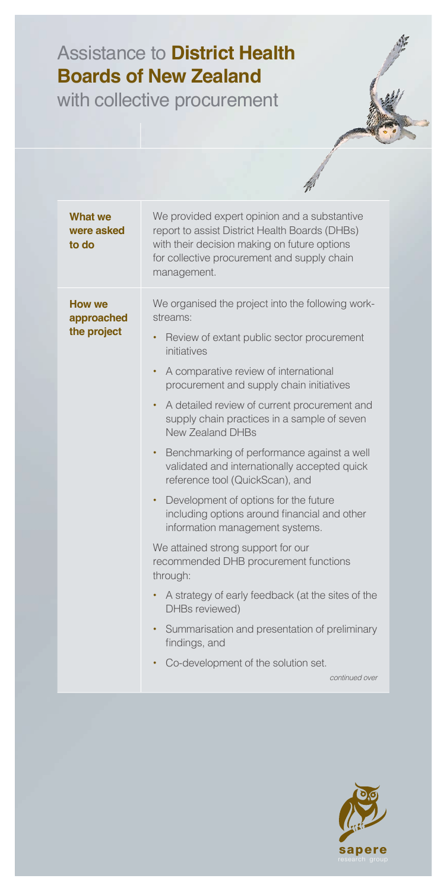## Assistance to **District Health Boards of New Zealand**

with collective procurement

| What we<br>were asked<br>to do             | We provided expert opinion and a substantive<br>report to assist District Health Boards (DHBs)<br>with their decision making on future options<br>for collective procurement and supply chain<br>management.                                                                                                                                                                                                                                                                                                                                                                                                                                                                                                                                                                                                                                                                                                                                                           |
|--------------------------------------------|------------------------------------------------------------------------------------------------------------------------------------------------------------------------------------------------------------------------------------------------------------------------------------------------------------------------------------------------------------------------------------------------------------------------------------------------------------------------------------------------------------------------------------------------------------------------------------------------------------------------------------------------------------------------------------------------------------------------------------------------------------------------------------------------------------------------------------------------------------------------------------------------------------------------------------------------------------------------|
| <b>How we</b><br>approached<br>the project | We organised the project into the following work-<br>streams:<br>Review of extant public sector procurement<br>$\bullet$<br>initiatives<br>A comparative review of international<br>$\bullet$<br>procurement and supply chain initiatives<br>A detailed review of current procurement and<br>$\bullet$<br>supply chain practices in a sample of seven<br><b>New Zealand DHBs</b><br>Benchmarking of performance against a well<br>٠<br>validated and internationally accepted quick<br>reference tool (QuickScan), and<br>Development of options for the future<br>٠<br>including options around financial and other<br>information management systems.<br>We attained strong support for our<br>recommended DHB procurement functions<br>through:<br>A strategy of early feedback (at the sites of the<br>$\bullet$<br>DHBs reviewed)<br>Summarisation and presentation of preliminary<br>٠<br>findings, and<br>Co-development of the solution set.<br>continued over |